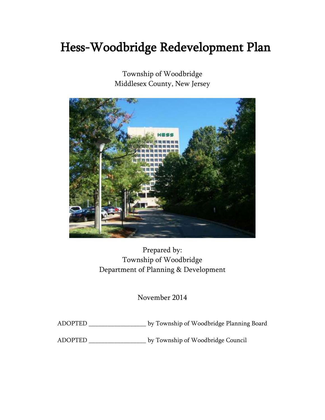# Hess-Woodbridge Redevelopment Plan

Township of Woodbridge Middlesex County, New Jersey



Prepared by: Township of Woodbridge Department of Planning & Development

November 2014

ADOPTED \_\_\_\_\_\_\_\_\_\_\_\_\_\_\_\_\_\_ by Township of Woodbridge Planning Board

ADOPTED \_\_\_\_\_\_\_\_\_\_\_\_\_\_\_\_\_\_ by Township of Woodbridge Council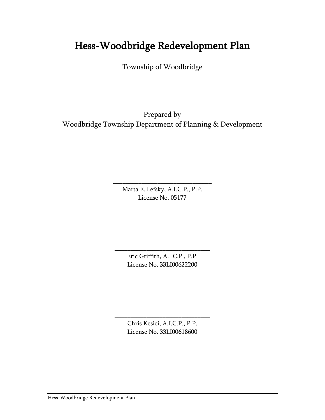# Hess-Woodbridge Redevelopment Plan

Township of Woodbridge

Prepared by Woodbridge Township Department of Planning & Development

> Marta E. Lefsky, A.I.C.P., P.P. License No. 05177

\_\_\_\_\_\_\_\_\_\_\_\_\_\_\_\_\_\_\_\_\_\_\_\_\_\_\_\_\_\_\_

Eric Griffith, A.I.C.P., P.P. License No. 33LI00622200

\_\_\_\_\_\_\_\_\_\_\_\_\_\_\_\_\_\_\_\_\_\_\_\_\_\_\_\_\_\_

Chris Kesici, A.I.C.P., P.P. License No. 33LI00618600

\_\_\_\_\_\_\_\_\_\_\_\_\_\_\_\_\_\_\_\_\_\_\_\_\_\_\_\_\_\_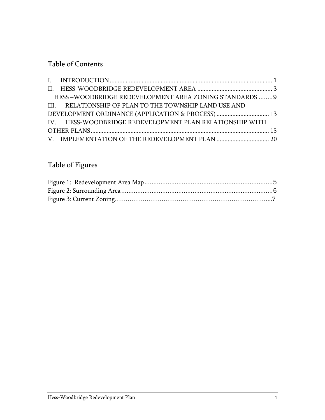### Table of Contents

| HESS-WOODBRIDGE REDEVELOPMENT AREA ZONING STANDARDS 9    |  |  |  |  |
|----------------------------------------------------------|--|--|--|--|
| III. RELATIONSHIP OF PLAN TO THE TOWNSHIP LAND USE AND   |  |  |  |  |
|                                                          |  |  |  |  |
| IV. HESS-WOODBRIDGE REDEVELOPMENT PLAN RELATIONSHIP WITH |  |  |  |  |
|                                                          |  |  |  |  |
|                                                          |  |  |  |  |
|                                                          |  |  |  |  |

### Table of Figures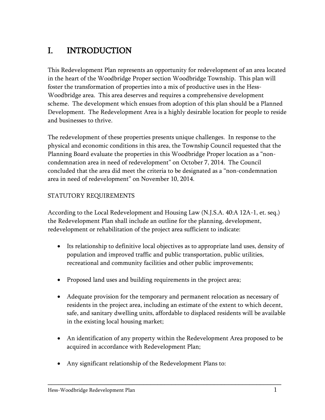# <span id="page-3-0"></span>I. INTRODUCTION

This Redevelopment Plan represents an opportunity for redevelopment of an area located in the heart of the Woodbridge Proper section Woodbridge Township. This plan will foster the transformation of properties into a mix of productive uses in the Hess-Woodbridge area. This area deserves and requires a comprehensive development scheme. The development which ensues from adoption of this plan should be a Planned Development. The Redevelopment Area is a highly desirable location for people to reside and businesses to thrive.

The redevelopment of these properties presents unique challenges. In response to the physical and economic conditions in this area, the Township Council requested that the Planning Board evaluate the properties in this Woodbridge Proper location as a "noncondemnation area in need of redevelopment" on October 7, 2014. The Council concluded that the area did meet the criteria to be designated as a "non-condemnation area in need of redevelopment" on November 10, 2014.

#### STATUTORY REQUIREMENTS

According to the Local Redevelopment and Housing Law (N.J.S.A. 40:A 12A-1, et. seq.) the Redevelopment Plan shall include an outline for the planning, development, redevelopment or rehabilitation of the project area sufficient to indicate:

- Its relationship to definitive local objectives as to appropriate land uses, density of population and improved traffic and public transportation, public utilities, recreational and community facilities and other public improvements;
- Proposed land uses and building requirements in the project area;
- Adequate provision for the temporary and permanent relocation as necessary of residents in the project area, including an estimate of the extent to which decent, safe, and sanitary dwelling units, affordable to displaced residents will be available in the existing local housing market;
- An identification of any property within the Redevelopment Area proposed to be acquired in accordance with Redevelopment Plan;

\_\_\_\_\_\_\_\_\_\_\_\_\_\_\_\_\_\_\_\_\_\_\_\_\_\_\_\_\_\_\_\_\_\_\_\_\_\_\_\_\_\_\_\_\_\_\_\_\_\_\_\_\_\_\_\_\_\_\_\_\_\_\_\_\_\_

Any significant relationship of the Redevelopment Plans to: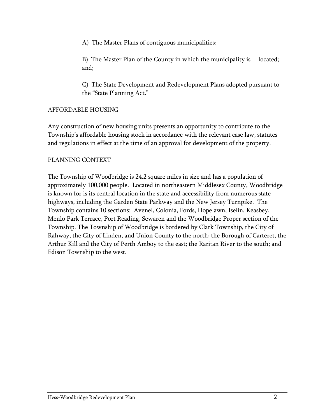A) The Master Plans of contiguous municipalities;

B) The Master Plan of the County in which the municipality is located; and;

C) The State Development and Redevelopment Plans adopted pursuant to the "State Planning Act."

#### AFFORDABLE HOUSING

Any construction of new housing units presents an opportunity to contribute to the Township's affordable housing stock in accordance with the relevant case law, statutes and regulations in effect at the time of an approval for development of the property.

#### PLANNING CONTEXT

The Township of Woodbridge is 24.2 square miles in size and has a population of approximately 100,000 people. Located in northeastern Middlesex County, Woodbridge is known for is its central location in the state and accessibility from numerous state highways, including the Garden State Parkway and the New Jersey Turnpike. The Township contains 10 sections: Avenel, Colonia, Fords, Hopelawn, Iselin, Keasbey, Menlo Park Terrace, Port Reading, Sewaren and the Woodbridge Proper section of the Township. The Township of Woodbridge is bordered by Clark Township, the City of Rahway, the City of Linden, and Union County to the north; the Borough of Carteret, the Arthur Kill and the City of Perth Amboy to the east; the Raritan River to the south; and Edison Township to the west.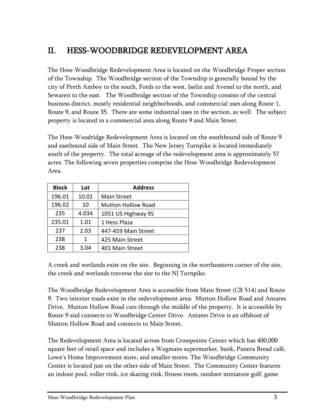# <span id="page-5-0"></span>II. HESS-WOODBRIDGE REDEVELOPMENT AREA

The Hess-Woodbridge Redevelopment Area is located on the Woodbridge Proper section of the Township. The Woodbridge section of the Township is generally bound by the city of Perth Amboy to the south, Fords to the west, Iselin and Avenel to the north, and Sewaren to the east. The Woodbridge section of the Township consists of the central business district, mostly residential neighborhoods, and commercial uses along Route 1, Route 9, and Route 35. There are some industrial uses in the section, as well. The subject property is located in a commercial area along Route 9 and Main Street.

The Hess-Woodridge Redevelopment Area is located on the southbound side of Route 9 and eastbound side of Main Street. The New Jersey Turnpike is located immediately south of the property. The total acreage of the redevelopment area is approximately 57 acres. The following seven properties comprise the Hess-Woodbridge Redevelopment Area.

| <b>Block</b> | Lot   | <b>Address</b>            |
|--------------|-------|---------------------------|
| 196.01       | 10.01 | <b>Main Street</b>        |
| 196.02       | 10    | <b>Mutton Hollow Road</b> |
| 235          | 4.034 | 1051 US Highway 9S        |
| 235.01       | 1.01  | 1 Hess Plaza              |
| 237          | 2.03  | 447-459 Main Street       |
| 238          | 1     | 425 Main Street           |
| 238          | 3.04  | 401 Main Street           |

A creek and wetlands exist on the site. Beginning in the northeastern corner of the site, the creek and wetlands traverse the site to the NJ Turnpike.

The Woodbridge Redevelopment Area is accessible from Main Street (CR 514) and Route 9. Two interior roads exist in the redevelopment area: Mutton Hollow Road and Antares Drive. Mutton Hollow Road cuts through the middle of the property. It is accessible by Route 9 and connects to Woodbridge Center Drive. Antares Drive is an offshoot of Mutton Hollow Road and connects to Main Street.

The Redevelopment Area is located across from Crosspointe Center which has 400,000 square feet of retail space and includes a Wegmans supermarket, bank, Panera Bread café, Lowe's Home Improvement store, and smaller stores. The Woodbridge Community Center is located just on the other side of Main Street. The Community Center features an indoor pool, roller rink, ice skating rink, fitness room, outdoor miniature golf, game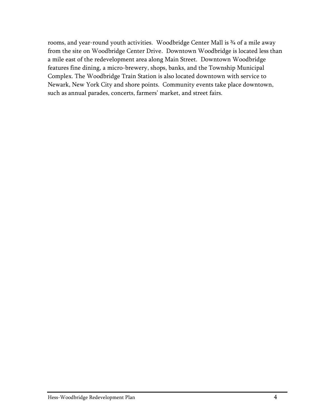rooms, and year-round youth activities. Woodbridge Center Mall is ¾ of a mile away from the site on Woodbridge Center Drive. Downtown Woodbridge is located less than a mile east of the redevelopment area along Main Street. Downtown Woodbridge features fine dining, a micro-brewery, shops, banks, and the Township Municipal Complex. The Woodbridge Train Station is also located downtown with service to Newark, New York City and shore points. Community events take place downtown, such as annual parades, concerts, farmers' market, and street fairs.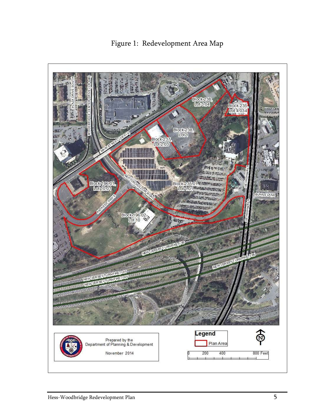<span id="page-7-0"></span>Elock238 Block 235 Lot 4.034  $\mathbf{v}$ Block 238 JHP Block 237 **HARRI** 開開 THE ANAN ANTA eleck (CSO<mark>).</mark><br>Lekt**OO**) **IIII** Block-235.01 36 2007 24 Lot 101 \*\*\* **Albert** ANF Block 196.02-<br>Lot 10 **SEYVER** Legend Prepared by the<br>Department of Planning & Development Plan Area November 2014 200 400 800 Feet

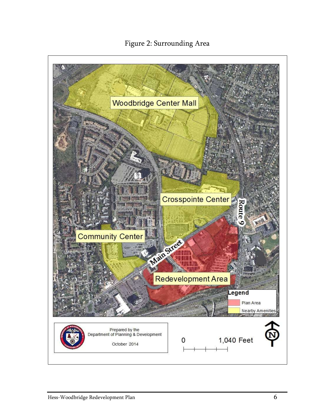### Figure 2: Surrounding Area

<span id="page-8-0"></span>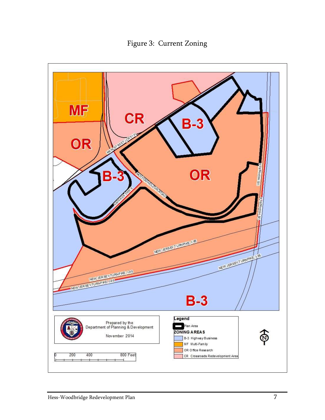Figure 3: Current Zoning

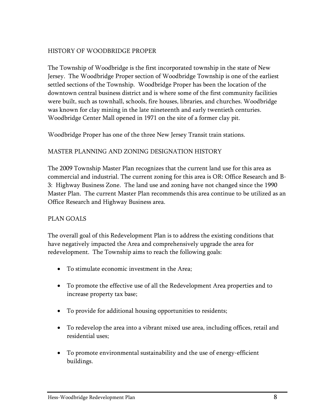#### HISTORY OF WOODBRIDGE PROPER

The Township of Woodbridge is the first incorporated township in the state of New Jersey. The Woodbridge Proper section of Woodbridge Township is one of the earliest settled sections of the Township. Woodbridge Proper has been the location of the downtown central business district and is where some of the first community facilities were built, such as townhall, schools, fire houses, libraries, and churches. Woodbridge was known for clay mining in the late nineteenth and early twentieth centuries. Woodbridge Center Mall opened in 1971 on the site of a former clay pit.

Woodbridge Proper has one of the three New Jersey Transit train stations.

#### MASTER PLANNING AND ZONING DESIGNATION HISTORY

The 2009 Township Master Plan recognizes that the current land use for this area as commercial and industrial. The current zoning for this area is OR: Office Research and B-3: Highway Business Zone. The land use and zoning have not changed since the 1990 Master Plan. The current Master Plan recommends this area continue to be utilized as an Office Research and Highway Business area.

#### PLAN GOALS

The overall goal of this Redevelopment Plan is to address the existing conditions that have negatively impacted the Area and comprehensively upgrade the area for redevelopment. The Township aims to reach the following goals:

- To stimulate economic investment in the Area;
- To promote the effective use of all the Redevelopment Area properties and to increase property tax base;
- To provide for additional housing opportunities to residents;
- To redevelop the area into a vibrant mixed use area, including offices, retail and residential uses;
- To promote environmental sustainability and the use of energy-efficient buildings.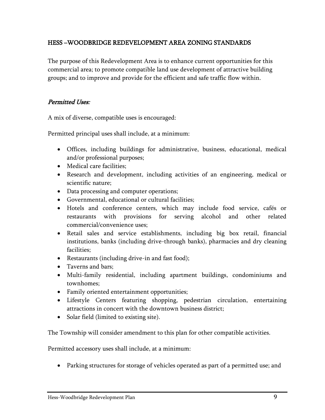#### <span id="page-11-0"></span>HESS –WOODBRIDGE REDEVELOPMENT AREA ZONING STANDARDS

The purpose of this Redevelopment Area is to enhance current opportunities for this commercial area; to promote compatible land use development of attractive building groups; and to improve and provide for the efficient and safe traffic flow within.

#### Permitted Uses:

A mix of diverse, compatible uses is encouraged:

Permitted principal uses shall include, at a minimum:

- Offices, including buildings for administrative, business, educational, medical and/or professional purposes;
- Medical care facilities;
- Research and development, including activities of an engineering, medical or scientific nature;
- Data processing and computer operations;
- Governmental, educational or cultural facilities;
- Hotels and conference centers, which may include food service, cafés or restaurants with provisions for serving alcohol and other related commercial/convenience uses;
- Retail sales and service establishments, including big box retail, financial institutions, banks (including drive-through banks), pharmacies and dry cleaning facilities;
- Restaurants (including drive-in and fast food);
- Taverns and bars;
- Multi-family residential, including apartment buildings, condominiums and townhomes;
- Family oriented entertainment opportunities;
- Lifestyle Centers featuring shopping, pedestrian circulation, entertaining attractions in concert with the downtown business district;
- Solar field (limited to existing site).

The Township will consider amendment to this plan for other compatible activities.

Permitted accessory uses shall include, at a minimum:

Parking structures for storage of vehicles operated as part of a permitted use; and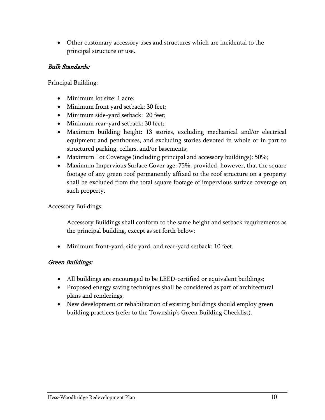Other customary accessory uses and structures which are incidental to the principal structure or use.

#### Bulk Standards:

Principal Building:

- Minimum lot size: 1 acre;
- Minimum front yard setback: 30 feet;
- Minimum side-yard setback: 20 feet;
- Minimum rear-yard setback: 30 feet;
- Maximum building height: 13 stories, excluding mechanical and/or electrical equipment and penthouses, and excluding stories devoted in whole or in part to structured parking, cellars, and/or basements;
- Maximum Lot Coverage (including principal and accessory buildings): 50%;
- Maximum Impervious Surface Cover age: 75%; provided, however, that the square footage of any green roof permanently affixed to the roof structure on a property shall be excluded from the total square footage of impervious surface coverage on such property.

Accessory Buildings:

Accessory Buildings shall conform to the same height and setback requirements as the principal building, except as set forth below:

Minimum front-yard, side yard, and rear-yard setback: 10 feet.

#### Green Buildings:

- All buildings are encouraged to be LEED-certified or equivalent buildings;
- Proposed energy saving techniques shall be considered as part of architectural plans and renderings;
- New development or rehabilitation of existing buildings should employ green building practices (refer to the Township's Green Building Checklist).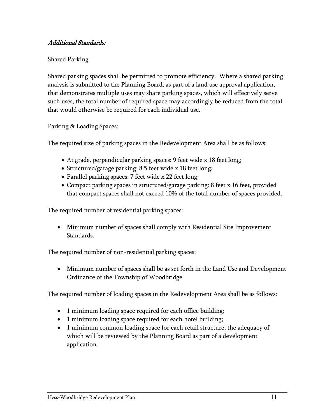#### Additional Standards:

#### Shared Parking:

Shared parking spaces shall be permitted to promote efficiency. Where a shared parking analysis is submitted to the Planning Board, as part of a land use approval application, that demonstrates multiple uses may share parking spaces, which will effectively serve such uses, the total number of required space may accordingly be reduced from the total that would otherwise be required for each individual use.

#### Parking & Loading Spaces:

The required size of parking spaces in the Redevelopment Area shall be as follows:

- At grade, perpendicular parking spaces: 9 feet wide x 18 feet long;
- Structured/garage parking: 8.5 feet wide x 18 feet long;
- Parallel parking spaces: 7 feet wide x 22 feet long;
- Compact parking spaces in structured/garage parking: 8 feet x 16 feet, provided that compact spaces shall not exceed 10% of the total number of spaces provided.

The required number of residential parking spaces:

 Minimum number of spaces shall comply with Residential Site Improvement Standards.

The required number of non-residential parking spaces:

 Minimum number of spaces shall be as set forth in the Land Use and Development Ordinance of the Township of Woodbridge.

The required number of loading spaces in the Redevelopment Area shall be as follows:

- 1 minimum loading space required for each office building;
- 1 minimum loading space required for each hotel building;
- 1 minimum common loading space for each retail structure, the adequacy of which will be reviewed by the Planning Board as part of a development application.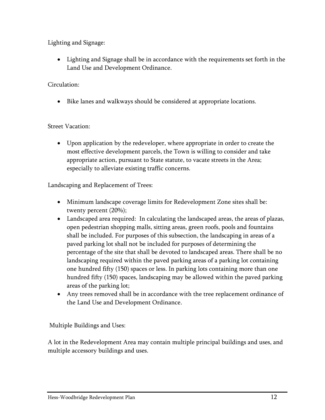Lighting and Signage:

 Lighting and Signage shall be in accordance with the requirements set forth in the Land Use and Development Ordinance.

Circulation:

Bike lanes and walkways should be considered at appropriate locations.

#### Street Vacation:

 Upon application by the redeveloper, where appropriate in order to create the most effective development parcels, the Town is willing to consider and take appropriate action, pursuant to State statute, to vacate streets in the Area; especially to alleviate existing traffic concerns.

Landscaping and Replacement of Trees:

- Minimum landscape coverage limits for Redevelopment Zone sites shall be: twenty percent (20%);
- Landscaped area required: In calculating the landscaped areas, the areas of plazas, open pedestrian shopping malls, sitting areas, green roofs, pools and fountains shall be included. For purposes of this subsection, the landscaping in areas of a paved parking lot shall not be included for purposes of determining the percentage of the site that shall be devoted to landscaped areas. There shall be no landscaping required within the paved parking areas of a parking lot containing one hundred fifty (150) spaces or less. In parking lots containing more than one hundred fifty (150) spaces, landscaping may be allowed within the paved parking areas of the parking lot;
- Any trees removed shall be in accordance with the tree replacement ordinance of the Land Use and Development Ordinance.

Multiple Buildings and Uses:

A lot in the Redevelopment Area may contain multiple principal buildings and uses, and multiple accessory buildings and uses.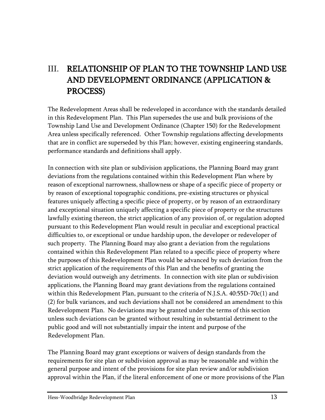# <span id="page-15-0"></span>III. RELATIONSHIP OF PLAN TO THE TOWNSHIP LAND USE AND DEVELOPMENT ORDINANCE (APPLICATION & PROCESS)

The Redevelopment Areas shall be redeveloped in accordance with the standards detailed in this Redevelopment Plan. This Plan supersedes the use and bulk provisions of the Township Land Use and Development Ordinance (Chapter 150) for the Redevelopment Area unless specifically referenced. Other Township regulations affecting developments that are in conflict are superseded by this Plan; however, existing engineering standards, performance standards and definitions shall apply.

In connection with site plan or subdivision applications, the Planning Board may grant deviations from the regulations contained within this Redevelopment Plan where by reason of exceptional narrowness, shallowness or shape of a specific piece of property or by reason of exceptional topographic conditions, pre-existing structures or physical features uniquely affecting a specific piece of property, or by reason of an extraordinary and exceptional situation uniquely affecting a specific piece of property or the structures lawfully existing thereon, the strict application of any provision of, or regulation adopted pursuant to this Redevelopment Plan would result in peculiar and exceptional practical difficulties to, or exceptional or undue hardship upon, the developer or redeveloper of such property. The Planning Board may also grant a deviation from the regulations contained within this Redevelopment Plan related to a specific piece of property where the purposes of this Redevelopment Plan would be advanced by such deviation from the strict application of the requirements of this Plan and the benefits of granting the deviation would outweigh any detriments. In connection with site plan or subdivision applications, the Planning Board may grant deviations from the regulations contained within this Redevelopment Plan, pursuant to the criteria of N.J.S.A. 40:55D-70c(1) and (2) for bulk variances, and such deviations shall not be considered an amendment to this Redevelopment Plan. No deviations may be granted under the terms of this section unless such deviations can be granted without resulting in substantial detriment to the public good and will not substantially impair the intent and purpose of the Redevelopment Plan.

The Planning Board may grant exceptions or waivers of design standards from the requirements for site plan or subdivision approval as may be reasonable and within the general purpose and intent of the provisions for site plan review and/or subdivision approval within the Plan, if the literal enforcement of one or more provisions of the Plan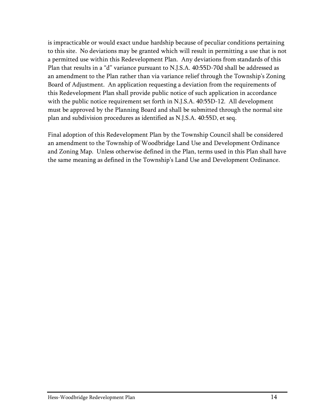is impracticable or would exact undue hardship because of peculiar conditions pertaining to this site. No deviations may be granted which will result in permitting a use that is not a permitted use within this Redevelopment Plan. Any deviations from standards of this Plan that results in a "d" variance pursuant to N.J.S.A. 40:55D-70d shall be addressed as an amendment to the Plan rather than via variance relief through the Township's Zoning Board of Adjustment. An application requesting a deviation from the requirements of this Redevelopment Plan shall provide public notice of such application in accordance with the public notice requirement set forth in N.J.S.A. 40:55D-12. All development must be approved by the Planning Board and shall be submitted through the normal site plan and subdivision procedures as identified as N.J.S.A. 40:55D, et seq.

Final adoption of this Redevelopment Plan by the Township Council shall be considered an amendment to the Township of Woodbridge Land Use and Development Ordinance and Zoning Map. Unless otherwise defined in the Plan, terms used in this Plan shall have the same meaning as defined in the Township's Land Use and Development Ordinance.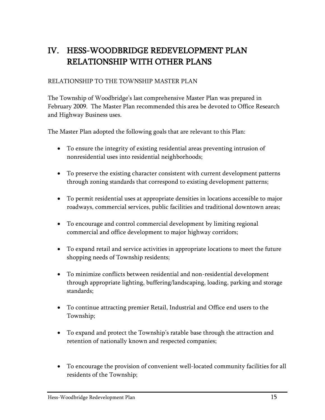# <span id="page-17-0"></span>IV. HESS-WOODBRIDGE REDEVELOPMENT PLAN RELATIONSHIP WITH OTHER PLANS

#### RELATIONSHIP TO THE TOWNSHIP MASTER PLAN

The Township of Woodbridge's last comprehensive Master Plan was prepared in February 2009. The Master Plan recommended this area be devoted to Office Research and Highway Business uses.

The Master Plan adopted the following goals that are relevant to this Plan:

- To ensure the integrity of existing residential areas preventing intrusion of nonresidential uses into residential neighborhoods;
- To preserve the existing character consistent with current development patterns through zoning standards that correspond to existing development patterns;
- To permit residential uses at appropriate densities in locations accessible to major roadways, commercial services, public facilities and traditional downtown areas;
- To encourage and control commercial development by limiting regional commercial and office development to major highway corridors;
- To expand retail and service activities in appropriate locations to meet the future shopping needs of Township residents;
- To minimize conflicts between residential and non-residential development through appropriate lighting, buffering/landscaping, loading, parking and storage standards;
- To continue attracting premier Retail, Industrial and Office end users to the Township;
- To expand and protect the Township's ratable base through the attraction and retention of nationally known and respected companies;
- To encourage the provision of convenient well-located community facilities for all residents of the Township;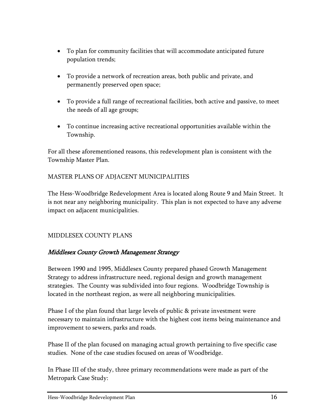- To plan for community facilities that will accommodate anticipated future population trends;
- To provide a network of recreation areas, both public and private, and permanently preserved open space;
- To provide a full range of recreational facilities, both active and passive, to meet the needs of all age groups;
- To continue increasing active recreational opportunities available within the Township.

For all these aforementioned reasons, this redevelopment plan is consistent with the Township Master Plan.

#### MASTER PLANS OF ADJACENT MUNICIPALITIES

The Hess-Woodbridge Redevelopment Area is located along Route 9 and Main Street. It is not near any neighboring municipality. This plan is not expected to have any adverse impact on adjacent municipalities.

#### MIDDLESEX COUNTY PLANS

#### Middlesex County Growth Management Strategy

Between 1990 and 1995, Middlesex County prepared phased Growth Management Strategy to address infrastructure need, regional design and growth management strategies. The County was subdivided into four regions. Woodbridge Township is located in the northeast region, as were all neighboring municipalities.

Phase I of the plan found that large levels of public & private investment were necessary to maintain infrastructure with the highest cost items being maintenance and improvement to sewers, parks and roads.

Phase II of the plan focused on managing actual growth pertaining to five specific case studies. None of the case studies focused on areas of Woodbridge.

In Phase III of the study, three primary recommendations were made as part of the Metropark Case Study: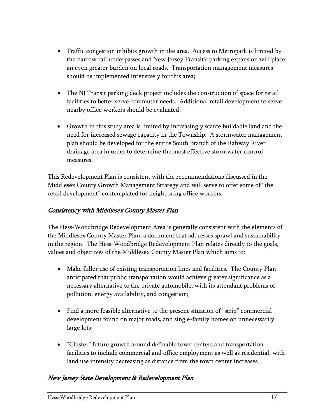- Traffic congestion inhibits growth in the area. Access to Metropark is limited by the narrow rail underpasses and New Jersey Transit's parking expansion will place an even greater burden on local roads. Transportation management measures should be implemented intensively for this area;
- The NJ Transit parking deck project includes the construction of space for retail facilities to better serve commuter needs. Additional retail development to serve nearby office workers should be evaluated;
- Growth in this study area is limited by increasingly scarce buildable land and the need for increased sewage capacity in the Township. A stormwater management plan should be developed for the entire South Branch of the Rahway River drainage area in order to determine the most effective stormwater control measures.

This Redevelopment Plan is consistent with the recommendations discussed in the Middlesex County Growth Management Strategy and will serve to offer some of "the retail development" contemplated for neighboring office workers.

#### Consistency with Middlesex County Master Plan

The Hess-Woodbridge Redevelopment Area is generally consistent with the elements of the Middlesex County Master Plan, a document that addresses sprawl and sustainability in the region. The Hess-Woodbridge Redevelopment Plan relates directly to the goals, values and objectives of the Middlesex County Master Plan which aims to:

- Make fuller use of existing transportation lines and facilities. The County Plan anticipated that public transportation would achieve greater significance as a necessary alternative to the private automobile, with its attendant problems of pollution, energy availability, and congestion;
- Find a more feasible alternative to the present situation of "strip" commercial development found on major roads, and single-family homes on unnecessarily large lots;
- "Cluster" future growth around definable town centers and transportation facilities to include commercial and office employment as well as residential, with land use intensity decreasing as distance from the town center increases.

#### New Jersey State Development & Redevelopment Plan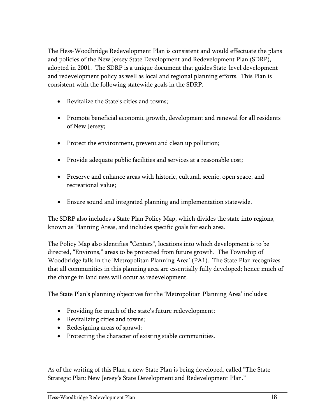The Hess-Woodbridge Redevelopment Plan is consistent and would effectuate the plans and policies of the New Jersey State Development and Redevelopment Plan (SDRP), adopted in 2001. The SDRP is a unique document that guides State-level development and redevelopment policy as well as local and regional planning efforts. This Plan is consistent with the following statewide goals in the SDRP.

- Revitalize the State's cities and towns;
- Promote beneficial economic growth, development and renewal for all residents of New Jersey;
- Protect the environment, prevent and clean up pollution;
- Provide adequate public facilities and services at a reasonable cost;
- Preserve and enhance areas with historic, cultural, scenic, open space, and recreational value;
- Ensure sound and integrated planning and implementation statewide.

The SDRP also includes a State Plan Policy Map, which divides the state into regions, known as Planning Areas, and includes specific goals for each area.

The Policy Map also identifies "Centers", locations into which development is to be directed, "Environs," areas to be protected from future growth. The Township of Woodbridge falls in the 'Metropolitan Planning Area' (PA1). The State Plan recognizes that all communities in this planning area are essentially fully developed; hence much of the change in land uses will occur as redevelopment.

The State Plan's planning objectives for the 'Metropolitan Planning Area' includes:

- Providing for much of the state's future redevelopment;
- Revitalizing cities and towns;
- Redesigning areas of sprawl;
- Protecting the character of existing stable communities.

As of the writing of this Plan, a new State Plan is being developed, called "The State Strategic Plan: New Jersey's State Development and Redevelopment Plan."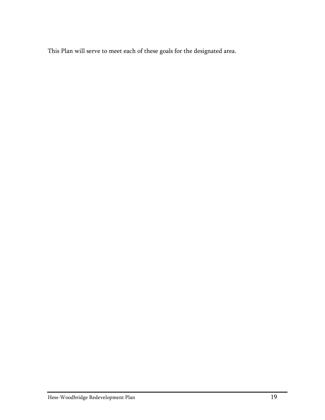This Plan will serve to meet each of these goals for the designated area.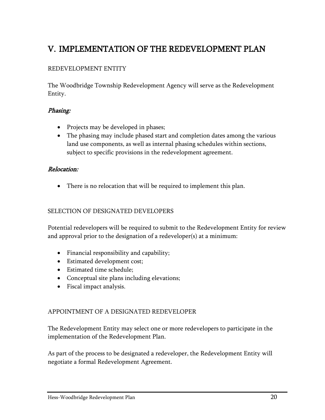### <span id="page-22-0"></span>V. IMPLEMENTATION OF THE REDEVELOPMENT PLAN

#### REDEVELOPMENT ENTITY

The Woodbridge Township Redevelopment Agency will serve as the Redevelopment Entity.

#### Phasing:

- Projects may be developed in phases;
- The phasing may include phased start and completion dates among the various land use components, as well as internal phasing schedules within sections, subject to specific provisions in the redevelopment agreement.

#### Relocation:

There is no relocation that will be required to implement this plan.

#### SELECTION OF DESIGNATED DEVELOPERS

Potential redevelopers will be required to submit to the Redevelopment Entity for review and approval prior to the designation of a redeveloper(s) at a minimum:

- Financial responsibility and capability;
- Estimated development cost;
- Estimated time schedule:
- Conceptual site plans including elevations;
- Fiscal impact analysis.

#### APPOINTMENT OF A DESIGNATED REDEVELOPER

The Redevelopment Entity may select one or more redevelopers to participate in the implementation of the Redevelopment Plan.

As part of the process to be designated a redeveloper, the Redevelopment Entity will negotiate a formal Redevelopment Agreement.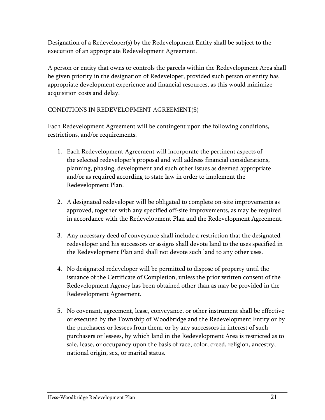Designation of a Redeveloper(s) by the Redevelopment Entity shall be subject to the execution of an appropriate Redevelopment Agreement.

A person or entity that owns or controls the parcels within the Redevelopment Area shall be given priority in the designation of Redeveloper, provided such person or entity has appropriate development experience and financial resources, as this would minimize acquisition costs and delay.

#### CONDITIONS IN REDEVELOPMENT AGREEMENT(S)

Each Redevelopment Agreement will be contingent upon the following conditions, restrictions, and/or requirements.

- 1. Each Redevelopment Agreement will incorporate the pertinent aspects of the selected redeveloper's proposal and will address financial considerations, planning, phasing, development and such other issues as deemed appropriate and/or as required according to state law in order to implement the Redevelopment Plan.
- 2. A designated redeveloper will be obligated to complete on-site improvements as approved, together with any specified off-site improvements, as may be required in accordance with the Redevelopment Plan and the Redevelopment Agreement.
- 3. Any necessary deed of conveyance shall include a restriction that the designated redeveloper and his successors or assigns shall devote land to the uses specified in the Redevelopment Plan and shall not devote such land to any other uses.
- 4. No designated redeveloper will be permitted to dispose of property until the issuance of the Certificate of Completion, unless the prior written consent of the Redevelopment Agency has been obtained other than as may be provided in the Redevelopment Agreement.
- 5. No covenant, agreement, lease, conveyance, or other instrument shall be effective or executed by the Township of Woodbridge and the Redevelopment Entity or by the purchasers or lessees from them, or by any successors in interest of such purchasers or lessees, by which land in the Redevelopment Area is restricted as to sale, lease, or occupancy upon the basis of race, color, creed, religion, ancestry, national origin, sex, or marital status.